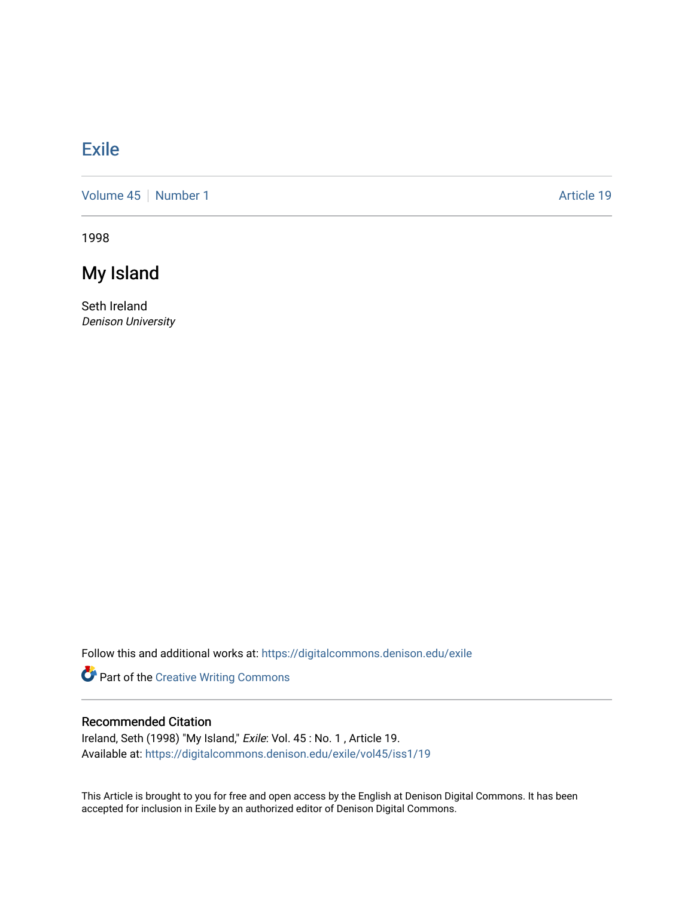## [Exile](https://digitalcommons.denison.edu/exile)

[Volume 45](https://digitalcommons.denison.edu/exile/vol45) | [Number 1](https://digitalcommons.denison.edu/exile/vol45/iss1) Article 19

1998

# My Island

Seth Ireland Denison University

Follow this and additional works at: [https://digitalcommons.denison.edu/exile](https://digitalcommons.denison.edu/exile?utm_source=digitalcommons.denison.edu%2Fexile%2Fvol45%2Fiss1%2F19&utm_medium=PDF&utm_campaign=PDFCoverPages) 

Part of the [Creative Writing Commons](http://network.bepress.com/hgg/discipline/574?utm_source=digitalcommons.denison.edu%2Fexile%2Fvol45%2Fiss1%2F19&utm_medium=PDF&utm_campaign=PDFCoverPages) 

### Recommended Citation

Ireland, Seth (1998) "My Island," Exile: Vol. 45 : No. 1 , Article 19. Available at: [https://digitalcommons.denison.edu/exile/vol45/iss1/19](https://digitalcommons.denison.edu/exile/vol45/iss1/19?utm_source=digitalcommons.denison.edu%2Fexile%2Fvol45%2Fiss1%2F19&utm_medium=PDF&utm_campaign=PDFCoverPages)

This Article is brought to you for free and open access by the English at Denison Digital Commons. It has been accepted for inclusion in Exile by an authorized editor of Denison Digital Commons.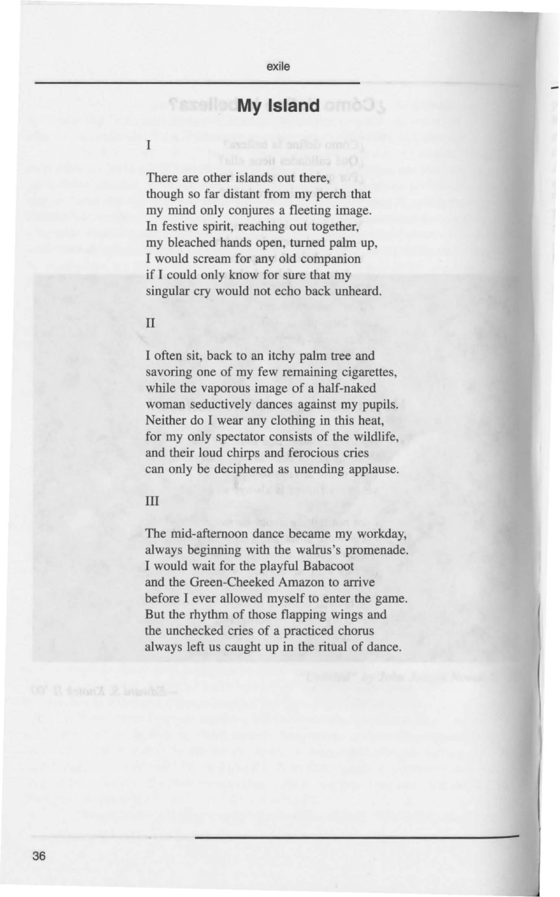### **My Island and 3**

There are other islands out there. though so far distant from my perch that my mind only conjures a fleeting image. In festive spirit, reaching out together, my bleached hands open, turned palm up, I would scream for any old companion if I could only know for sure that my singular cry would not echo back unheard.

#### II

T

I often sit, back to an itchy palm tree and savoring one of my few remaining cigarettes, while the vaporous image of a half-naked woman seductively dances against my pupils. Neither do I wear any clothing in this heat, for my only spectator consists of the wildlife, and their loud chirps and ferocious cries can only be deciphered as unending applause.

#### III

The mid-afternoon dance became my workday, always beginning with the walrus's promenade. I would wait for the playful Babacoot and the Green-Cheeked Amazon to arrive before I ever allowed myself to enter the game. But the rhythm of those flapping wings and the unchecked cries of a practiced chorus always left us caught up in the ritual of dance.